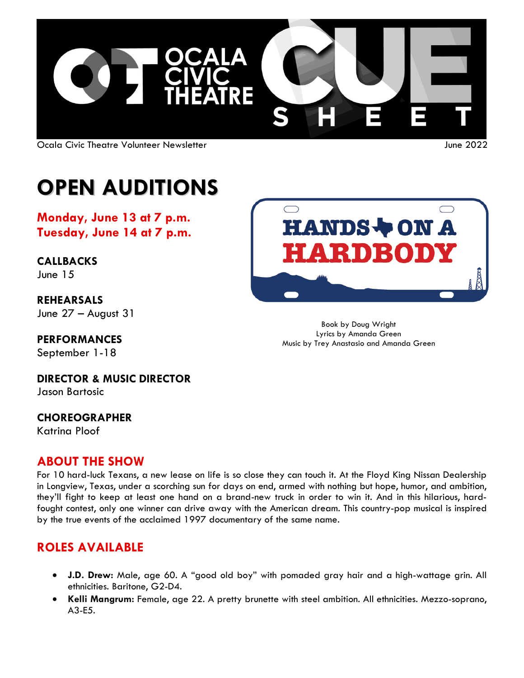

Ocala Civic Theatre Volunteer Newsletter June 2022

# **OPEN AUDITIONS**

**Monday, June 13 at 7 p.m. Tuesday, June 14 at 7 p.m.**

**CALLBACKS** June 15

**REHEARSALS** June 27 – August 31

**PERFORMANCES** September 1-18

Book by Doug Wright Lyrics by Amanda Green

Music by Trey Anastasio and Amanda Green

**DIRECTOR & MUSIC DIRECTOR** Jason Bartosic

#### **CHOREOGRAPHER** Katrina Ploof

**ABOUT THE SHOW**

For 10 hard-luck Texans, a new lease on life is so close they can touch it. At the Floyd King Nissan Dealership in Longview, Texas, under a scorching sun for days on end, armed with nothing but hope, humor, and ambition, they'll fight to keep at least one hand on a brand-new truck in order to win it. And in this hilarious, hardfought contest, only one winner can drive away with the American dream. This country-pop musical is inspired by the true events of the acclaimed 1997 documentary of the same name.

### **ROLES AVAILABLE**

- **J.D. Drew:** Male, age 60. A "good old boy" with pomaded gray hair and a high-wattage grin. All ethnicities. Baritone, G2-D4.
- **Kelli Mangrum:** Female, age 22. A pretty brunette with steel ambition. All ethnicities. Mezzo-soprano, A3-E5.

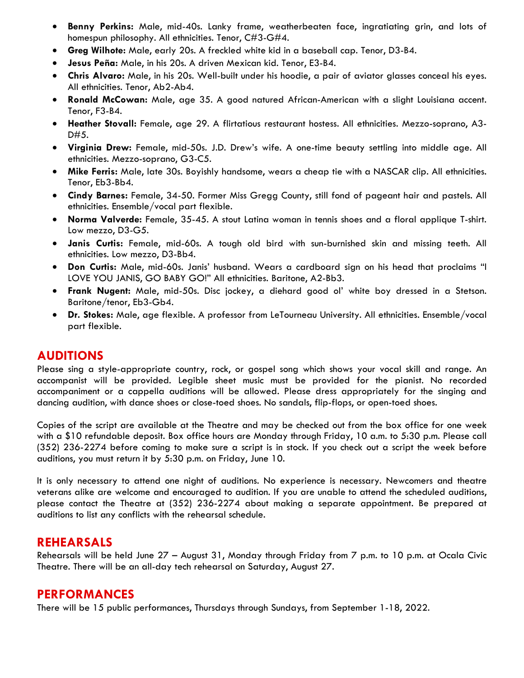- **Benny Perkins:** Male, mid-40s. Lanky frame, weatherbeaten face, ingratiating grin, and lots of homespun philosophy. All ethnicities. Tenor, C#3-G#4.
- **Greg Wilhote:** Male, early 20s. A freckled white kid in a baseball cap. Tenor, D3-B4.
- **Jesus Peña:** Male, in his 20s. A driven Mexican kid. Tenor, E3-B4.
- **Chris Alvaro:** Male, in his 20s. Well-built under his hoodie, a pair of aviator glasses conceal his eyes. All ethnicities. Tenor, Ab2-Ab4.
- **Ronald McCowan:** Male, age 35. A good natured African-American with a slight Louisiana accent. Tenor, F3-B4.
- **Heather Stovall:** Female, age 29. A flirtatious restaurant hostess. All ethnicities. Mezzo-soprano, A3- D#5.
- **Virginia Drew:** Female, mid-50s. J.D. Drew's wife. A one-time beauty settling into middle age. All ethnicities. Mezzo-soprano, G3-C5.
- **Mike Ferris:** Male, late 30s. Boyishly handsome, wears a cheap tie with a NASCAR clip. All ethnicities. Tenor, Eb3-Bb4.
- **Cindy Barnes:** Female, 34-50. Former Miss Gregg County, still fond of pageant hair and pastels. All ethnicities. Ensemble/vocal part flexible.
- **Norma Valverde:** Female, 35-45. A stout Latina woman in tennis shoes and a floral applique T-shirt. Low mezzo, D3-G5.
- **Janis Curtis:** Female, mid-60s. A tough old bird with sun-burnished skin and missing teeth. All ethnicities. Low mezzo, D3-Bb4.
- **Don Curtis:** Male, mid-60s. Janis' husband. Wears a cardboard sign on his head that proclaims "I LOVE YOU JANIS, GO BABY GO!" All ethnicities. Baritone, A2-Bb3.
- **Frank Nugent:** Male, mid-50s. Disc jockey, a diehard good ol' white boy dressed in a Stetson. Baritone/tenor, Eb3-Gb4.
- **Dr. Stokes:** Male, age flexible. A professor from LeTourneau University. All ethnicities. Ensemble/vocal part flexible.

#### **AUDITIONS**

Please sing a style-appropriate country, rock, or gospel song which shows your vocal skill and range. An accompanist will be provided. Legible sheet music must be provided for the pianist. No recorded accompaniment or a cappella auditions will be allowed. Please dress appropriately for the singing and dancing audition, with dance shoes or close-toed shoes. No sandals, flip-flops, or open-toed shoes.

Copies of the script are available at the Theatre and may be checked out from the box office for one week with a \$10 refundable deposit. Box office hours are Monday through Friday, 10 a.m. to 5:30 p.m. Please call (352) 236-2274 before coming to make sure a script is in stock. If you check out a script the week before auditions, you must return it by 5:30 p.m. on Friday, June 10.

It is only necessary to attend one night of auditions. No experience is necessary. Newcomers and theatre veterans alike are welcome and encouraged to audition. If you are unable to attend the scheduled auditions, please contact the Theatre at (352) 236-2274 about making a separate appointment. Be prepared at auditions to list any conflicts with the rehearsal schedule.

#### **REHEARSALS**

Rehearsals will be held June 27 – August 31, Monday through Friday from 7 p.m. to 10 p.m. at Ocala Civic Theatre. There will be an all-day tech rehearsal on Saturday, August 27.

#### **PERFORMANCES**

There will be 15 public performances, Thursdays through Sundays, from September 1-18, 2022.